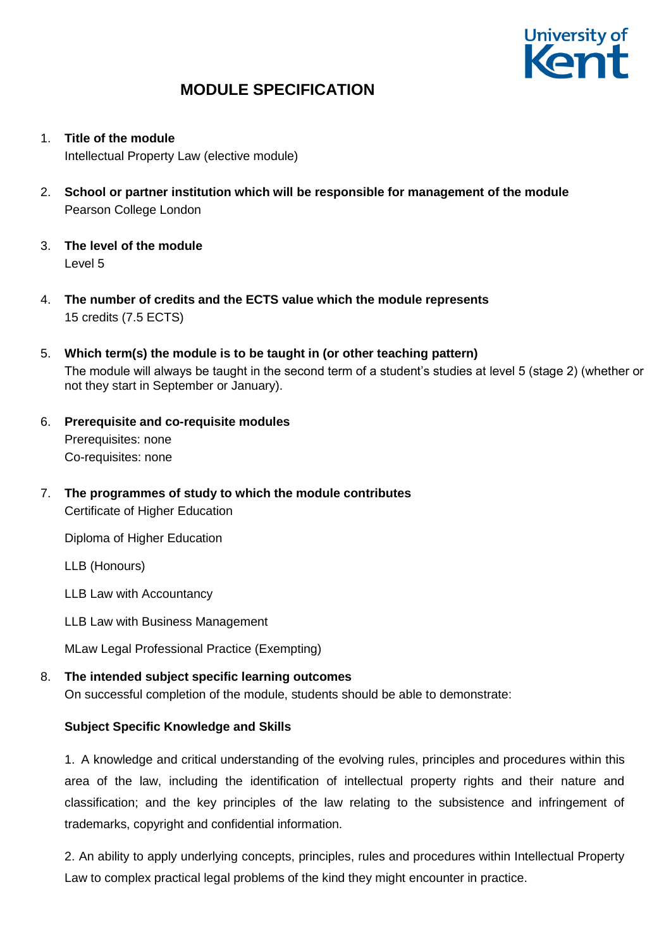

- 1. **Title of the module** Intellectual Property Law (elective module)
- 2. **School or partner institution which will be responsible for management of the module** Pearson College London
- 3. **The level of the module**  Level 5
- 4. **The number of credits and the ECTS value which the module represents**  15 credits (7.5 ECTS)
- 5. **Which term(s) the module is to be taught in (or other teaching pattern)** The module will always be taught in the second term of a student's studies at level 5 (stage 2) (whether or not they start in September or January).
- 6. **Prerequisite and co-requisite modules** Prerequisites: none Co-requisites: none
- 7. **The programmes of study to which the module contributes** Certificate of Higher Education

Diploma of Higher Education

LLB (Honours)

LLB Law with Accountancy

LLB Law with Business Management

MLaw Legal Professional Practice (Exempting)

## 8. **The intended subject specific learning outcomes**

On successful completion of the module, students should be able to demonstrate:

## **Subject Specific Knowledge and Skills**

1. A knowledge and critical understanding of the evolving rules, principles and procedures within this area of the law, including the identification of intellectual property rights and their nature and classification; and the key principles of the law relating to the subsistence and infringement of trademarks, copyright and confidential information.

2. An ability to apply underlying concepts, principles, rules and procedures within Intellectual Property Law to complex practical legal problems of the kind they might encounter in practice.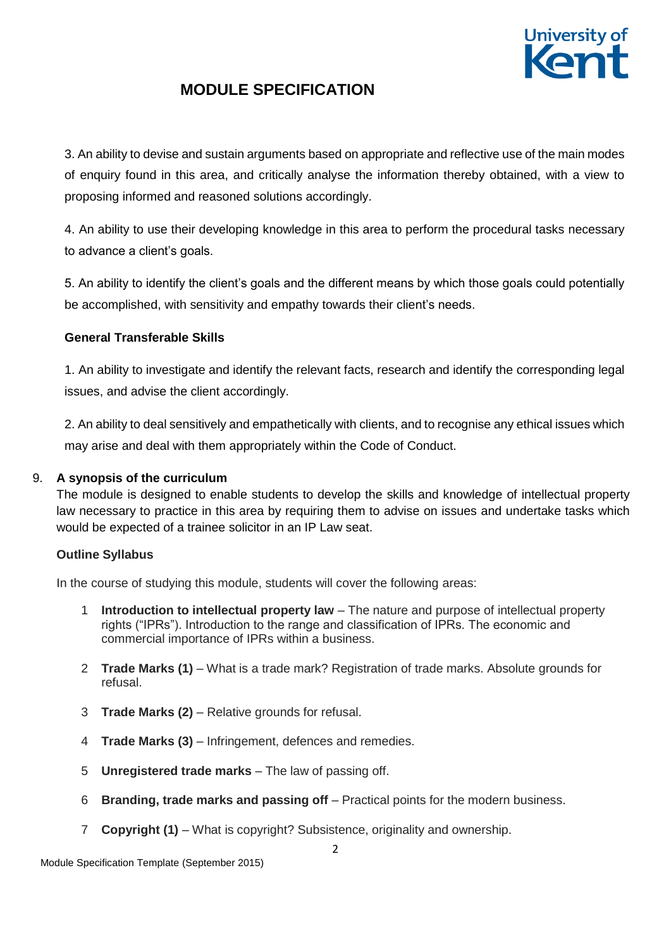

3. An ability to devise and sustain arguments based on appropriate and reflective use of the main modes of enquiry found in this area, and critically analyse the information thereby obtained, with a view to proposing informed and reasoned solutions accordingly.

4. An ability to use their developing knowledge in this area to perform the procedural tasks necessary to advance a client's goals.

5. An ability to identify the client's goals and the different means by which those goals could potentially be accomplished, with sensitivity and empathy towards their client's needs.

## **General Transferable Skills**

1. An ability to investigate and identify the relevant facts, research and identify the corresponding legal issues, and advise the client accordingly.

2. An ability to deal sensitively and empathetically with clients, and to recognise any ethical issues which may arise and deal with them appropriately within the Code of Conduct.

## 9. **A synopsis of the curriculum**

The module is designed to enable students to develop the skills and knowledge of intellectual property law necessary to practice in this area by requiring them to advise on issues and undertake tasks which would be expected of a trainee solicitor in an IP Law seat.

### **Outline Syllabus**

In the course of studying this module, students will cover the following areas:

- 1 **Introduction to intellectual property law** The nature and purpose of intellectual property rights ("IPRs"). Introduction to the range and classification of IPRs. The economic and commercial importance of IPRs within a business.
- 2 **Trade Marks (1)** What is a trade mark? Registration of trade marks. Absolute grounds for refusal.
- 3 **Trade Marks (2)** Relative grounds for refusal.
- 4 **Trade Marks (3)** Infringement, defences and remedies.
- 5 **Unregistered trade marks** The law of passing off.
- 6 **Branding, trade marks and passing off** Practical points for the modern business.
- 7 **Copyright (1)** What is copyright? Subsistence, originality and ownership.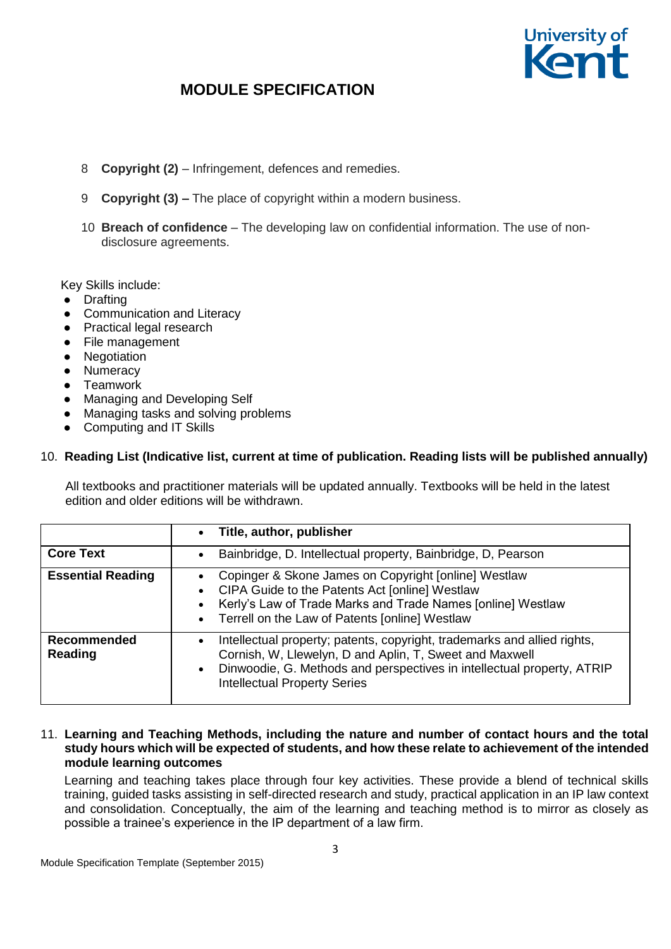

- 8 **Copyright (2)** Infringement, defences and remedies.
- 9 **Copyright (3) –** The place of copyright within a modern business.
- 10 **Breach of confidence** The developing law on confidential information. The use of nondisclosure agreements.

Key Skills include:

- Drafting
- Communication and Literacy
- Practical legal research
- File management
- Negotiation
- Numeracy
- Teamwork
- Managing and Developing Self
- Managing tasks and solving problems
- Computing and IT Skills

#### 10. **Reading List (Indicative list, current at time of publication. Reading lists will be published annually)**

All textbooks and practitioner materials will be updated annually. Textbooks will be held in the latest edition and older editions will be withdrawn.

|                               | Title, author, publisher<br>$\bullet$                                                                                                                                                                                                                                          |
|-------------------------------|--------------------------------------------------------------------------------------------------------------------------------------------------------------------------------------------------------------------------------------------------------------------------------|
| <b>Core Text</b>              | Bainbridge, D. Intellectual property, Bainbridge, D, Pearson<br>$\bullet$                                                                                                                                                                                                      |
| <b>Essential Reading</b>      | Copinger & Skone James on Copyright [online] Westlaw<br>CIPA Guide to the Patents Act [online] Westlaw<br>$\bullet$<br>Kerly's Law of Trade Marks and Trade Names [online] Westlaw<br>$\bullet$<br>• Terrell on the Law of Patents [online] Westlaw                            |
| Recommended<br><b>Reading</b> | Intellectual property; patents, copyright, trademarks and allied rights,<br>$\bullet$<br>Cornish, W, Llewelyn, D and Aplin, T, Sweet and Maxwell<br>Dinwoodie, G. Methods and perspectives in intellectual property, ATRIP<br>$\bullet$<br><b>Intellectual Property Series</b> |

11. **Learning and Teaching Methods, including the nature and number of contact hours and the total study hours which will be expected of students, and how these relate to achievement of the intended module learning outcomes**

Learning and teaching takes place through four key activities. These provide a blend of technical skills training, guided tasks assisting in self-directed research and study, practical application in an IP law context and consolidation. Conceptually, the aim of the learning and teaching method is to mirror as closely as possible a trainee's experience in the IP department of a law firm.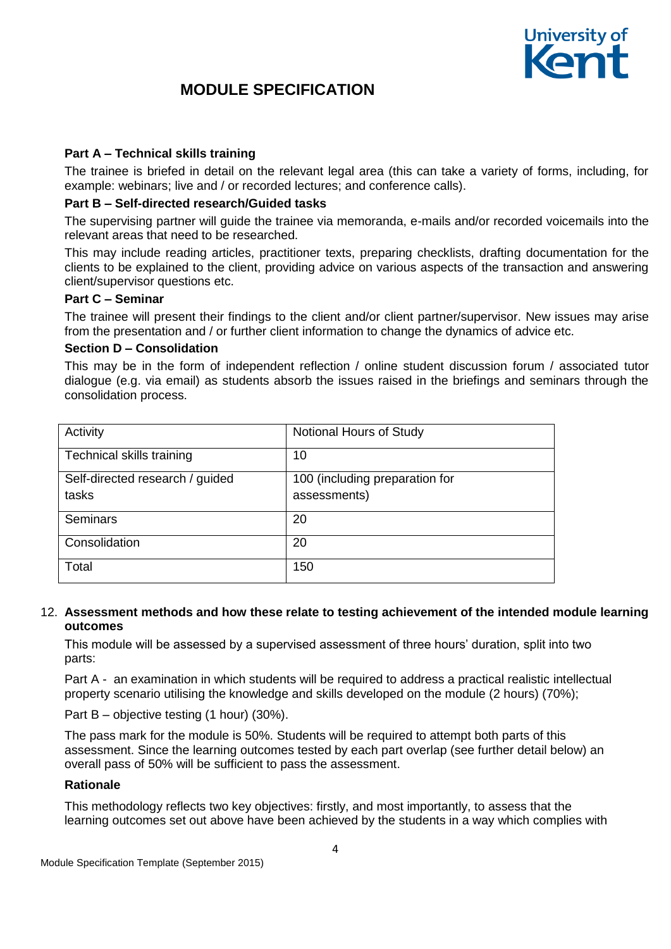

### **Part A – Technical skills training**

The trainee is briefed in detail on the relevant legal area (this can take a variety of forms, including, for example: webinars; live and / or recorded lectures; and conference calls).

### **Part B – Self-directed research/Guided tasks**

The supervising partner will guide the trainee via memoranda, e-mails and/or recorded voicemails into the relevant areas that need to be researched.

This may include reading articles, practitioner texts, preparing checklists, drafting documentation for the clients to be explained to the client, providing advice on various aspects of the transaction and answering client/supervisor questions etc.

#### **Part C – Seminar**

The trainee will present their findings to the client and/or client partner/supervisor. New issues may arise from the presentation and / or further client information to change the dynamics of advice etc.

#### **Section D – Consolidation**

This may be in the form of independent reflection / online student discussion forum / associated tutor dialogue (e.g. via email) as students absorb the issues raised in the briefings and seminars through the consolidation process.

| Activity                        | Notional Hours of Study        |
|---------------------------------|--------------------------------|
| Technical skills training       | 10                             |
| Self-directed research / guided | 100 (including preparation for |
| tasks                           | assessments)                   |
| Seminars                        | 20                             |
| Consolidation                   | 20                             |
| Total                           | 150                            |

#### 12. **Assessment methods and how these relate to testing achievement of the intended module learning outcomes**

This module will be assessed by a supervised assessment of three hours' duration, split into two parts:

Part A - an examination in which students will be required to address a practical realistic intellectual property scenario utilising the knowledge and skills developed on the module (2 hours) (70%);

Part B – objective testing (1 hour) (30%).

The pass mark for the module is 50%. Students will be required to attempt both parts of this assessment. Since the learning outcomes tested by each part overlap (see further detail below) an overall pass of 50% will be sufficient to pass the assessment.

### **Rationale**

This methodology reflects two key objectives: firstly, and most importantly, to assess that the learning outcomes set out above have been achieved by the students in a way which complies with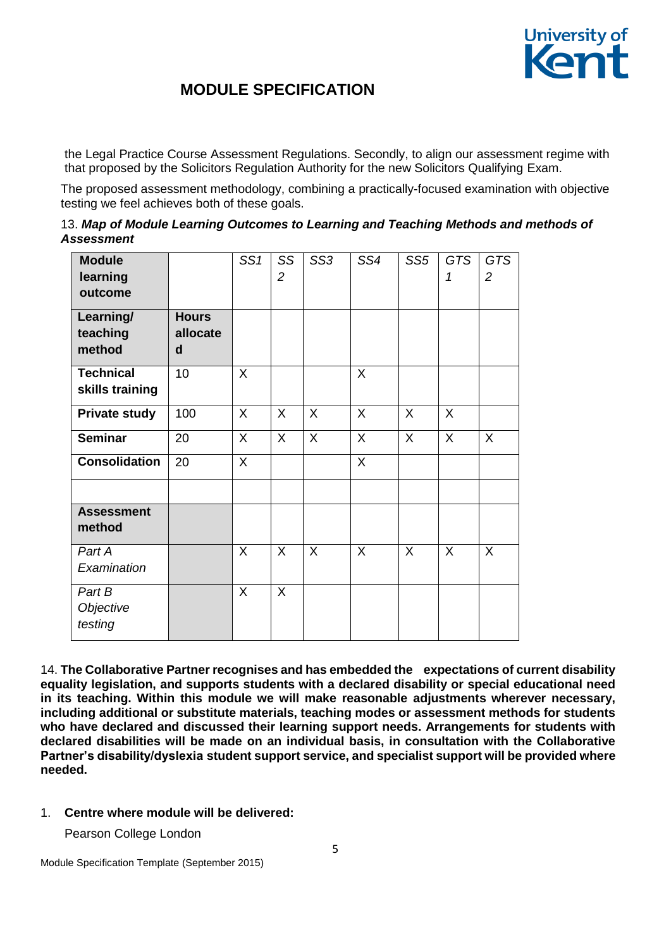

the Legal Practice Course Assessment Regulations. Secondly, to align our assessment regime with that proposed by the Solicitors Regulation Authority for the new Solicitors Qualifying Exam.

The proposed assessment methodology, combining a practically-focused examination with objective testing we feel achieves both of these goals.

|            |  | 13. Map of Module Learning Outcomes to Learning and Teaching Methods and methods of |
|------------|--|-------------------------------------------------------------------------------------|
| Assessment |  |                                                                                     |

| <b>Module</b><br>learning<br>outcome |                               | SS1     | SS<br>$\overline{2}$ | SS <sub>3</sub> | SS4 | SS <sub>5</sub> | <b>GTS</b><br>1 | <b>GTS</b><br>$\overline{2}$ |
|--------------------------------------|-------------------------------|---------|----------------------|-----------------|-----|-----------------|-----------------|------------------------------|
| Learning/<br>teaching<br>method      | <b>Hours</b><br>allocate<br>d |         |                      |                 |     |                 |                 |                              |
| <b>Technical</b><br>skills training  | 10                            | X       |                      |                 | X   |                 |                 |                              |
| <b>Private study</b>                 | 100                           | X       | $\sf X$              | $\sf X$         | X   | X               | $\sf X$         |                              |
| <b>Seminar</b>                       | 20                            | X       | $\sf X$              | $\sf X$         | X   | $\sf X$         | $\sf X$         | X                            |
| <b>Consolidation</b>                 | 20                            | $\sf X$ |                      |                 | X   |                 |                 |                              |
| <b>Assessment</b><br>method          |                               |         |                      |                 |     |                 |                 |                              |
| Part A<br>Examination                |                               | X       | X                    | X               | X   | X               | $\sf X$         | X                            |
| Part B<br>Objective<br>testing       |                               | X       | $\sf X$              |                 |     |                 |                 |                              |

14. **The Collaborative Partner recognises and has embedded the expectations of current disability equality legislation, and supports students with a declared disability or special educational need in its teaching. Within this module we will make reasonable adjustments wherever necessary, including additional or substitute materials, teaching modes or assessment methods for students**  who have declared and discussed their learning support needs. Arrangements for students with **declared disabilities will be made on an individual basis, in consultation with the Collaborative Partner's disability/dyslexia student support service, and specialist support will be provided where needed.**

### 1. **Centre where module will be delivered:**

Pearson College London